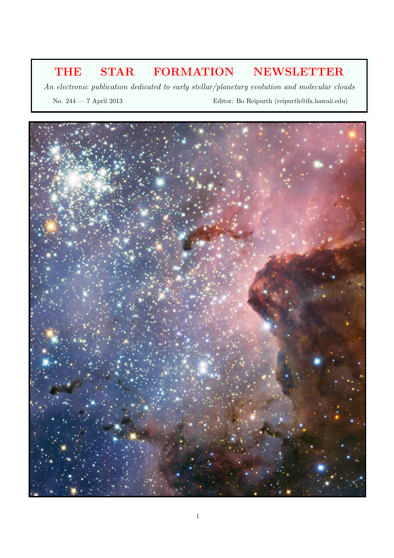# THE STAR FORMATION NEWSLETTER

An electronic publication dedicated to early stellar/planetary evolution and molecular clouds

No. 244 — 7 April 2013 Editor: Bo Reipurth (reipurth@ifa.hawaii.edu)

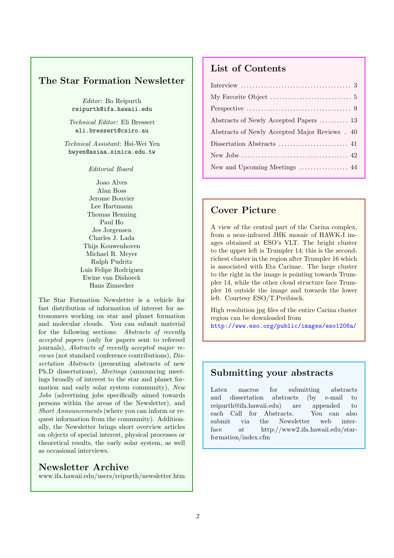#### The Star Formation Newsletter

Editor: Bo Reipurth reipurth@ifa.hawaii.edu

Technical Editor: Eli Bressert eli.bressert@csiro.au

Technical Assistant: Hsi-Wei Yen hwyen@asiaa.sinica.edu.tw

Editorial Board

Joao Alves Alan Boss Jerome Bouvier Lee Hartmann Thomas Henning Paul Ho Jes Jorgensen Charles J. Lada Thijs Kouwenhoven Michael R. Meyer Ralph Pudritz Luis Felipe Rodríguez Ewine van Dishoeck Hans Zinnecker

The Star Formation Newsletter is a vehicle for fast distribution of information of interest for astronomers working on star and planet formation and molecular clouds. You can submit material for the following sections: Abstracts of recently accepted papers (only for papers sent to refereed journals), Abstracts of recently accepted major reviews (not standard conference contributions), Dissertation Abstracts (presenting abstracts of new Ph.D dissertations), Meetings (announcing meetings broadly of interest to the star and planet formation and early solar system community), New Jobs (advertising jobs specifically aimed towards persons within the areas of the Newsletter), and Short Announcements (where you can inform or request information from the community). Additionally, the Newsletter brings short overview articles on objects of special interest, physical processes or theoretical results, the early solar system, as well as occasional interviews.

#### Newsletter Archive

www.ifa.hawaii.edu/users/reipurth/newsletter.htm

### List of Contents

| Abstracts of Newly Accepted Papers  13         |
|------------------------------------------------|
| Abstracts of Newly Accepted Major Reviews . 40 |
|                                                |
|                                                |
|                                                |

#### Cover Picture

A view of the central part of the Carina complex, from a near-infrared JHK mosaic of HAWK-I images obtained at ESO's VLT. The bright cluster to the upper left is Trumpler 14; this is the secondrichest cluster in the region after Trumpler 16 which is associated with Eta Carinae. The large cluster to the right in the image is pointing towards Trumpler 14, while the other cloud structure face Trumpler 16 outside the image and towards the lower left. Courtesy ESO/T.Preibisch.

High resolution jpg files of the entire Carina cluster region can be downloaded from http://www.eso.org/public/images/eso1208a/

#### Submitting your abstracts

Latex macros for submitting abstracts and dissertation abstracts (by e-mail to reipurth@ifa.hawaii.edu) are appended to each Call for Abstracts. You can also submit via the Newsletter web interface at http://www2.ifa.hawaii.edu/starformation/index.cfm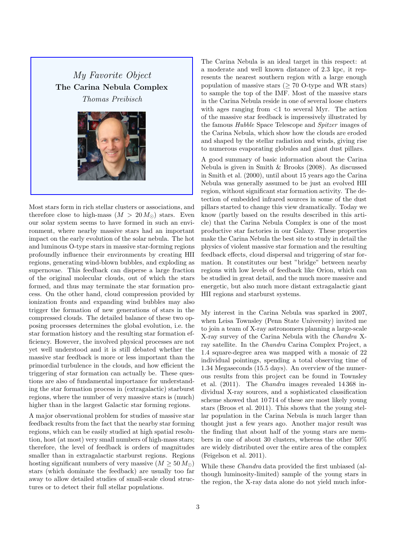## My Favorite Object The Carina Nebula Complex Thomas Preibisch



Most stars form in rich stellar clusters or associations, and therefore close to high-mass  $(M > 20 M_{\odot})$  stars. Even our solar system seems to have formed in such an environment, where nearby massive stars had an important impact on the early evolution of the solar nebula. The hot and luminous O-type stars in massive star-forming regions profoundly influence their environments by creating HII regions, generating wind-blown bubbles, and exploding as supernovae. This feedback can disperse a large fraction of the original molecular clouds, out of which the stars formed, and thus may terminate the star formation process. On the other hand, cloud compression provided by ionization fronts and expanding wind bubbles may also trigger the formation of new generations of stars in the compressed clouds. The detailed balance of these two opposing processes determines the global evolution, i.e. the star formation history and the resulting star formation efficiency. However, the involved physical processes are not yet well understood and it is still debated whether the massive star feedback is more or less important than the primordial turbulence in the clouds, and how efficient the triggering of star formation can actually be. These questions are also of fundamental importance for understanding the star formation process in (extragalactic) starburst regions, where the number of very massive stars is (much) higher than in the largest Galactic star forming regions.

A major observational problem for studies of massive star feedback results from the fact that the nearby star forming regions, which can be easily studied at high spatial resolution, host (at most) very small numbers of high-mass stars; therefore, the level of feedback is orders of magnitudes smaller than in extragalactic starburst regions. Regions hosting significant numbers of very massive  $(M \geq 50 M_{\odot})$ stars (which dominate the feedback) are usually too far away to allow detailed studies of small-scale cloud structures or to detect their full stellar populations.

The Carina Nebula is an ideal target in this respect: at a moderate and well known distance of 2.3 kpc, it represents the nearest southern region with a large enough population of massive stars ( $\geq 70$  O-type and WR stars) to sample the top of the IMF. Most of the massive stars in the Carina Nebula reside in one of several loose clusters with ages ranging from <1 to several Myr. The action of the massive star feedback is impressively illustrated by the famous Hubble Space Telescope and Spitzer images of the Carina Nebula, which show how the clouds are eroded and shaped by the stellar radiation and winds, giving rise to numerous evaporating globules and giant dust pillars.

A good summary of basic information about the Carina Nebula is given in Smith & Brooks (2008). As discussed in Smith et al. (2000), until about 15 years ago the Carina Nebula was generally assumed to be just an evolved HII region, without significant star formation activity. The detection of embedded infrared sources in some of the dust pillars started to change this view dramatically. Today we know (partly based on the results described in this article) that the Carina Nebula Complex is one of the most productive star factories in our Galaxy. These properties make the Carina Nebula the best site to study in detail the physics of violent massive star formation and the resulting feedback effects, cloud dispersal and triggering of star formation. It constitutes our best "bridge" between nearby regions with low levels of feedback like Orion, which can be studied in great detail, and the much more massive and energetic, but also much more distant extragalactic giant HII regions and starburst systems.

My interest in the Carina Nebula was sparked in 2007, when Leisa Townsley (Penn State University) invited me to join a team of X-ray astronomers planning a large-scale X-ray survey of the Carina Nebula with the Chandra Xray satellite. In the Chandra Carina Complex Project, a 1.4 square-degree area was mapped with a mosaic of 22 individual pointings, spending a total observing time of 1.34 Megaseconds (15.5 days). An overview of the numerous results from this project can be found in Townsley et al. (2011). The Chandra images revealed 14 368 individual X-ray sources, and a sophisticated classification scheme showed that 10 714 of these are most likely young stars (Broos et al. 2011). This shows that the young stellar population in the Carina Nebula is much larger than thought just a few years ago. Another major result was the finding that about half of the young stars are members in one of about 30 clusters, whereas the other 50% are widely distributed over the entire area of the complex (Feigelson et al. 2011).

While these Chandra data provided the first unbiased (although luminosity-limited) sample of the young stars in the region, the X-ray data alone do not yield much infor-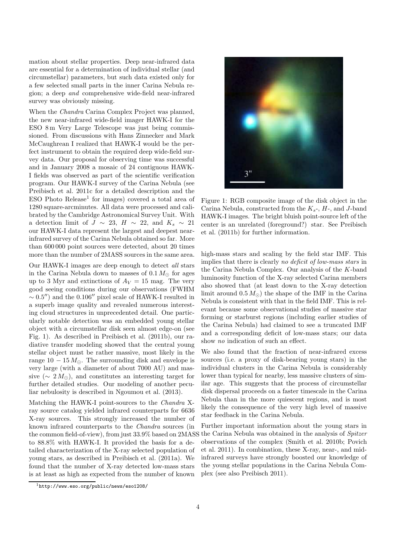mation about stellar properties. Deep near-infrared data are essential for a determination of individual stellar (and circumstellar) parameters, but such data existed only for a few selected small parts in the inner Carina Nebula region; a deep and comprehensive wide-field near-infrared survey was obviously missing.

When the Chandra Carina Complex Project was planned, the new near-infrared wide-field imager HAWK-I for the ESO 8 m Very Large Telescope was just being commissioned. From discussions with Hans Zinnecker and Mark McCaughrean I realized that HAWK-I would be the perfect instrument to obtain the required deep wide-field survey data. Our proposal for observing time was successful and in January 2008 a mosaic of 24 contiguous HAWK-I fields was observed as part of the scientific verification program. Our HAWK-I survey of the Carina Nebula (see Preibisch et al. 2011c for a detailed description and the ESO Photo Release<sup>1</sup> for images) covered a total area of 1280 square-arcminutes. All data were processed and calibrated by the Cambridge Astronomical Survey Unit. With a detection limit of  $J \sim 23$ ,  $H \sim 22$ , and  $K_s \sim 21$ our HAWK-I data represent the largest and deepest nearinfrared survey of the Carina Nebula obtained so far. More than 600 000 point sources were detected, about 20 times more than the number of 2MASS sources in the same area.

Our HAWK-I images are deep enough to detect all stars in the Carina Nebula down to masses of  $0.1 M_{\odot}$  for ages up to 3 Myr and extinctions of  $A_V = 15$  mag. The very good seeing conditions during our observations (FWHM  $\sim 0.5$ ") and the 0.106" pixel scale of HAWK-I resulted in a superb image quality and revealed numerous interesting cloud structures in unprecedented detail. One particularly notable detection was an embedded young stellar object with a circumstellar disk seen almost edge-on (see Fig. 1). As described in Preibisch et al. (2011b), our radiative transfer modeling showed that the central young stellar object must be rather massive, most likely in the range  $10 - 15 M_{\odot}$ . The surrounding disk and envelope is very large (with a diameter of about 7000 AU) and massive ( $\sim 2 M_{\odot}$ ), and constitutes an interesting target for further detailed studies. Our modeling of another peculiar nebulosity is described in Ngoumou et al. (2013).

Matching the HAWK-I point-sources to the Chandra Xray source catalog yielded infrared counterparts for 6636 X-ray sources. This strongly increased the number of known infrared counterparts to the Chandra sources (in the common field-of-view), from just 33.9% based on 2MASS to 88.8% with HAWK-I. It provided the basis for a detailed characterization of the X-ray selected population of young stars, as described in Preibisch et al. (2011a). We found that the number of X-ray detected low-mass stars is at least as high as expected from the number of known



Figure 1: RGB composite image of the disk object in the Carina Nebula, constructed from the  $K_s$ -,  $H$ -, and J-band HAWK-I images. The bright bluish point-source left of the center is an unrelated (foreground?) star. See Preibisch et al. (2011b) for further information.

high-mass stars and scaling by the field star IMF. This implies that there is clearly no deficit of low-mass stars in the Carina Nebula Complex. Our analysis of the K-band luminosity function of the X-ray selected Carina members also showed that (at least down to the X-ray detection limit around  $0.5 M_{\odot}$  the shape of the IMF in the Carina Nebula is consistent with that in the field IMF. This is relevant because some observational studies of massive star forming or starburst regions (including earlier studies of the Carina Nebula) had claimed to see a truncated IMF and a corresponding deficit of low-mass stars; our data show no indication of such an effect.

We also found that the fraction of near-infrared excess sources (i.e. a proxy of disk-bearing young stars) in the individual clusters in the Carina Nebula is considerably lower than typical for nearby, less massive clusters of similar age. This suggests that the process of circumstellar disk dispersal proceeds on a faster timescale in the Carina Nebula than in the more quiescent regions, and is most likely the consequence of the very high level of massive star feedback in the Carina Nebula.

Further important information about the young stars in the Carina Nebula was obtained in the analysis of Spitzer observations of the complex (Smith et al. 2010b; Povich et al. 2011). In combination, these X-ray, near-, and midinfrared surveys have strongly boosted our knowledge of the young stellar populations in the Carina Nebula Complex (see also Preibisch 2011).

 $1$ http://www.eso.org/public/news/eso1208/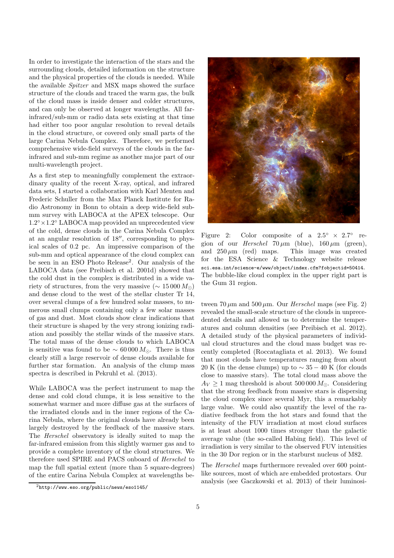In order to investigate the interaction of the stars and the surrounding clouds, detailed information on the structure and the physical properties of the clouds is needed. While the available Spitzer and MSX maps showed the surface structure of the clouds and traced the warm gas, the bulk of the cloud mass is inside denser and colder structures, and can only be observed at longer wavelengths. All farinfrared/sub-mm or radio data sets existing at that time had either too poor angular resolution to reveal details in the cloud structure, or covered only small parts of the large Carina Nebula Complex. Therefore, we performed comprehensive wide-field surveys of the clouds in the farinfrared and sub-mm regime as another major part of our multi-wavelength project.

As a first step to meaningfully complement the extraordinary quality of the recent X-ray, optical, and infrared data sets, I started a collaboration with Karl Menten and Frederic Schuller from the Max Planck Institute for Radio Astronomy in Bonn to obtain a deep wide-field submm survey with LABOCA at the APEX telescope. Our 1.2° × 1.2° LABOCA map provided an unprecedented view of the cold, dense clouds in the Carina Nebula Complex at an angular resolution of 18′′, corresponding to physical scales of 0.2 pc. An impressive comparison of the sub-mm and optical appearance of the cloud complex can be seen in an ESO Photo Release<sup>2</sup> . Our analysis of the LABOCA data (see Preibisch et al. 2001d) showed that the cold dust in the complex is distributed in a wide variety of structures, from the very massive ( $\sim 15000 M_{\odot}$ ) and dense cloud to the west of the stellar cluster Tr 14, over several clumps of a few hundred solar masses, to numerous small clumps containing only a few solar masses of gas and dust. Most clouds show clear indications that their structure is shaped by the very strong ionizing radiation and possibly the stellar winds of the massive stars. The total mass of the dense clouds to which LABOCA is sensitive was found to be  $\sim 60000 M_{\odot}$ . There is thus clearly still a large reservoir of dense clouds available for further star formation. An analysis of the clump mass spectra is described in Pekruhl et al. (2013).

While LABOCA was the perfect instrument to map the dense and cold cloud clumps, it is less sensitive to the somewhat warmer and more diffuse gas at the surfaces of the irradiated clouds and in the inner regions of the Carina Nebula, where the original clouds have already been largely destroyed by the feedback of the massive stars. The Herschel observatory is ideally suited to map the far-infrared emission from this slightly warmer gas and to provide a complete inventory of the cloud structures. We therefore used SPIRE and PACS onboard of Herschel to map the full spatial extent (more than 5 square-degrees) of the entire Carina Nebula Complex at wavelengths be-

Figure 2: Color composite of a  $2.5^{\circ} \times 2.7^{\circ}$  region of our *Herschel*  $70 \,\mu m$  (blue),  $160 \,\mu m$  (green), and  $250 \,\mu m$  (red) maps. This image was created for the ESA Science & Technology website release sci.esa.int/science-e/www/object/index.cfm?fobjectid=50414. The bubble-like cloud complex in the upper right part is the Gum 31 region.

tween 70  $\mu$ m and 500  $\mu$ m. Our *Herschel* maps (see Fig. 2) revealed the small-scale structure of the clouds in unprecedented details and allowed us to determine the temperatures and column densities (see Preibisch et al. 2012). A detailed study of the physical parameters of individual cloud structures and the cloud mass budget was recently completed (Roccatagliata et al. 2013). We found that most clouds have temperatures ranging from about 20 K (in the dense clumps) up to  $\sim$  35 – 40 K (for clouds close to massive stars). The total cloud mass above the  $A_V \geq 1$  mag threshold is about 500 000  $M_{\odot}$ . Considering that the strong feedback from massive stars is dispersing the cloud complex since several Myr, this a remarkably large value. We could also quantify the level of the radiative feedback from the hot stars and found that the intensity of the FUV irradiation at most cloud surfaces is at least about 1000 times stronger than the galactic average value (the so-called Habing field). This level of irradiation is very similar to the observed FUV intensities in the 30 Dor region or in the starburst nucleus of M82.

The Herschel maps furthermore revealed over 600 pointlike sources, most of which are embedded protostars. Our analysis (see Gaczkowski et al. 2013) of their luminosi-

 $^{2}$ http://www.eso.org/public/news/eso1145/